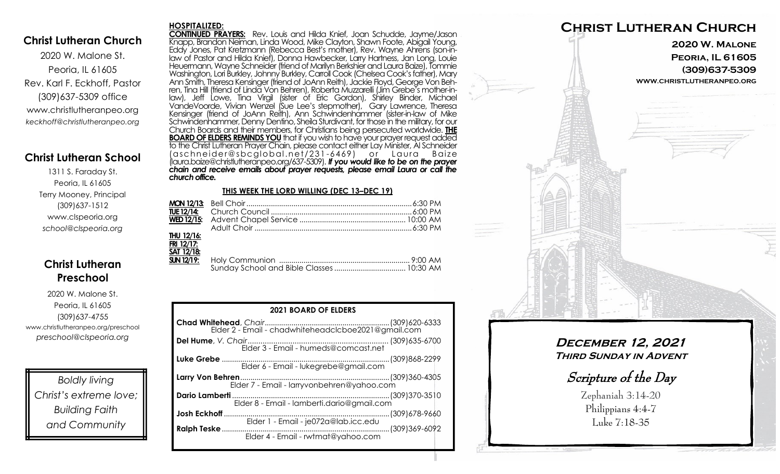### **Christ Lutheran Church**

2020 W. Malone St. Peoria, IL 61605 Rev. Karl F. Eckhoff, Pastor (309)637-5309 office www.christlutheranpeo.org *keckhoff@christlutheranpeo.org*

## **Christ Lutheran School**

1311 S. Faraday St. Peoria, IL 61605 Terry Mooney, Principal (309)637-1512 www.clspeoria.org *school@clspeoria.org*

# **Christ Lutheran Preschool**

2020 W. Malone St. Peoria, IL 61605 (309)637-4755 www.christlutheranpeo.org/preschool *preschool@clspeoria.org*

*Boldly living Christ's extreme love; Building Faith and Community*

#### **HOSPITALIZED:**

**CONTINUED PRAYERS:** Rev. Louis and Hilda Knief, Joan Schudde, Jayme/Jason Knapp, Brandon Neiman, Linda Wood, Mike Clayton, Shawn Foote, Abigail Young, Eddy Jones, Pat Kretzmann (Rebecca Best's mother), Rev. Wayne Ahrens (son-inlaw of Pastor and Hilda Knief), Donna Hawbecker, Larry Hartness, Jan Long, Louie Heuermann, Wayne Schneider (friend of Marilyn Berkshier and Laura Baize), Tommie Washington, Lori Burkley, Johnny Burkley, Carroll Cook (Chelsea Cook's father), Mary Ann Smith, Theresa Kensinger (friend of JoAnn Reith), Jackie Floyd, George Von Behren, Tina Hill (friend of Linda Von Behren), Roberta Muzzarelli (Jim Grebe's mother-inlaw), Jeff Lowe, Tina Virgil (sister of Eric Gordon), Shirley Binder, Michael VandeVoorde, Vivian Wenzel (Sue Lee's stepmother), Gary Lawrence, Theresa Kensinger (friend of JoAnn Reith), Ann Schwindenhammer (sister-in-law of Mike Schwindenhammer, Denny Dentino, Sheila Sturdivant, for those in the military, for our Church Boards and their members, for Christians being persecuted worldwide. **THE BOARD OF ELDERS REMINDS YOU**that if you wish to have your prayer request added to the Christ Lutheran Prayer Chain, please contact either Lay Minister, Al Schneider (aschneider@sbcglobal.net/231-6469) or Laura Baize (laura.baize@christlutheranpeo.org/637-5309). *If you would like to be on the prayer chain and receive emails about prayer requests, please email Laura or call the church office.*

#### **THIS WEEK THE LORD WILLING (DEC 13–DEC 19)**

| THU 12/16: |  |
|------------|--|
| FRI 12/17: |  |
| SAT 12/18: |  |
|            |  |
|            |  |

| <b>2021 BOARD OF ELDERS</b>                               |  |  |  |
|-----------------------------------------------------------|--|--|--|
|                                                           |  |  |  |
|                                                           |  |  |  |
|                                                           |  |  |  |
|                                                           |  |  |  |
| Elder 8 - Email - lamberti.dario@gmail.com                |  |  |  |
|                                                           |  |  |  |
| <b>Ralph Teske </b><br>Elder 4 - Email - rwtmat@yahoo.com |  |  |  |



# **December 12, 2021 Third Sunday in Advent**

Scripture of the Day

Zephaniah 3:14-20 Philippians 4:4-7 Luke 7:18-35